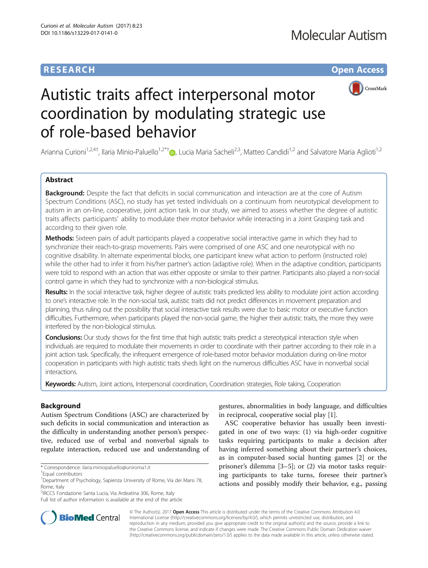# **RESEARCH CHE Open Access**



# Autistic traits affect interpersonal motor coordination by modulating strategic use of role-based behavior

Arianna Curioni<sup>1,2,4†</sup>, Ilaria Minio-Paluello<sup>1,2\*†</sup>®, Lucia Maria Sacheli<sup>2,3</sup>, Matteo Candidi<sup>1,2</sup> and Salvatore Maria Aglioti<sup>1,2</sup>

# Abstract

Background: Despite the fact that deficits in social communication and interaction are at the core of Autism Spectrum Conditions (ASC), no study has yet tested individuals on a continuum from neurotypical development to autism in an on-line, cooperative, joint action task. In our study, we aimed to assess whether the degree of autistic traits affects participants' ability to modulate their motor behavior while interacting in a Joint Grasping task and according to their given role.

Methods: Sixteen pairs of adult participants played a cooperative social interactive game in which they had to synchronize their reach-to-grasp movements. Pairs were comprised of one ASC and one neurotypical with no cognitive disability. In alternate experimental blocks, one participant knew what action to perform (instructed role) while the other had to infer it from his/her partner's action (adaptive role). When in the adaptive condition, participants were told to respond with an action that was either opposite or similar to their partner. Participants also played a non-social control game in which they had to synchronize with a non-biological stimulus.

Results: In the social interactive task, higher degree of autistic traits predicted less ability to modulate joint action according to one's interactive role. In the non-social task, autistic traits did not predict differences in movement preparation and planning, thus ruling out the possibility that social interactive task results were due to basic motor or executive function difficulties. Furthermore, when participants played the non-social game, the higher their autistic traits, the more they were interfered by the non-biological stimulus.

Conclusions: Our study shows for the first time that high autistic traits predict a stereotypical interaction style when individuals are required to modulate their movements in order to coordinate with their partner according to their role in a joint action task. Specifically, the infrequent emergence of role-based motor behavior modulation during on-line motor cooperation in participants with high autistic traits sheds light on the numerous difficulties ASC have in nonverbal social interactions.

Keywords: Autism, Joint actions, Interpersonal coordination, Coordination strategies, Role taking, Cooperation

# Background

Autism Spectrum Conditions (ASC) are characterized by such deficits in social communication and interaction as the difficulty in understanding another person's perspective, reduced use of verbal and nonverbal signals to regulate interaction, reduced use and understanding of

2 IRCCS Fondazione Santa Lucia, Via Ardeatina 306, Rome, Italy Full list of author information is available at the end of the article



ASC cooperative behavior has usually been investigated in one of two ways: (1) via high-order cognitive tasks requiring participants to make a decision after having inferred something about their partner's choices, as in computer-based social hunting games [\[2](#page-11-0)] or the prisoner's dilemma [[3](#page-11-0)–[5\]](#page-11-0); or (2) via motor tasks requiring participants to take turns, foresee their partner's actions and possibly modify their behavior, e.g., passing



© The Author(s). 2017 **Open Access** This article is distributed under the terms of the Creative Commons Attribution 4.0 International License [\(http://creativecommons.org/licenses/by/4.0/](http://creativecommons.org/licenses/by/4.0/)), which permits unrestricted use, distribution, and reproduction in any medium, provided you give appropriate credit to the original author(s) and the source, provide a link to the Creative Commons license, and indicate if changes were made. The Creative Commons Public Domain Dedication waiver [\(http://creativecommons.org/publicdomain/zero/1.0/](http://creativecommons.org/publicdomain/zero/1.0/)) applies to the data made available in this article, unless otherwise stated.

<sup>\*</sup> Correspondence: [ilaria.miniopaluello@uniroma1.it](mailto:ilaria.miniopaluello@uniroma1.it) †

<sup>&</sup>lt;sup>+</sup>Equal contributors

<sup>&</sup>lt;sup>1</sup>Department of Psychology, Sapienza University of Rome, Via dei Marsi 78, Rome, Italy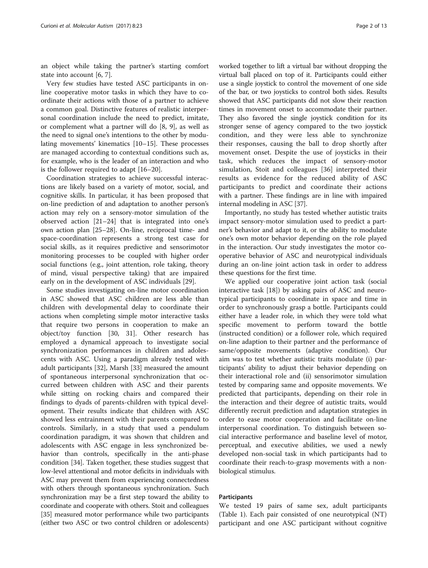an object while taking the partner's starting comfort state into account [\[6, 7\]](#page-11-0).

Very few studies have tested ASC participants in online cooperative motor tasks in which they have to coordinate their actions with those of a partner to achieve a common goal. Distinctive features of realistic interpersonal coordination include the need to predict, imitate, or complement what a partner will do [\[8](#page-11-0), [9\]](#page-11-0), as well as the need to signal one's intentions to the other by modulating movements' kinematics [\[10](#page-11-0)–[15\]](#page-11-0). These processes are managed according to contextual conditions such as, for example, who is the leader of an interaction and who is the follower required to adapt [\[16](#page-11-0)–[20\]](#page-12-0).

Coordination strategies to achieve successful interactions are likely based on a variety of motor, social, and cognitive skills. In particular, it has been proposed that on-line prediction of and adaptation to another person's action may rely on a sensory-motor simulation of the observed action [[21](#page-12-0)–[24\]](#page-12-0) that is integrated into one's own action plan [\[25](#page-12-0)–[28\]](#page-12-0). On-line, reciprocal time- and space-coordination represents a strong test case for social skills, as it requires predictive and sensorimotor monitoring processes to be coupled with higher order social functions (e.g., joint attention, role taking, theory of mind, visual perspective taking) that are impaired early on in the development of ASC individuals [[29](#page-12-0)].

Some studies investigating on-line motor coordination in ASC showed that ASC children are less able than children with developmental delay to coordinate their actions when completing simple motor interactive tasks that require two persons in cooperation to make an object/toy function [[30, 31](#page-12-0)]. Other research has employed a dynamical approach to investigate social synchronization performances in children and adolescents with ASC. Using a paradigm already tested with adult participants [\[32](#page-12-0)], Marsh [[33\]](#page-12-0) measured the amount of spontaneous interpersonal synchronization that occurred between children with ASC and their parents while sitting on rocking chairs and compared their findings to dyads of parents-children with typical development. Their results indicate that children with ASC showed less entrainment with their parents compared to controls. Similarly, in a study that used a pendulum coordination paradigm, it was shown that children and adolescents with ASC engage in less synchronized behavior than controls, specifically in the anti-phase condition [[34\]](#page-12-0). Taken together, these studies suggest that low-level attentional and motor deficits in individuals with ASC may prevent them from experiencing connectedness with others through spontaneous synchronization. Such synchronization may be a first step toward the ability to coordinate and cooperate with others. Stoit and colleagues [[35](#page-12-0)] measured motor performance while two participants (either two ASC or two control children or adolescents) worked together to lift a virtual bar without dropping the virtual ball placed on top of it. Participants could either use a single joystick to control the movement of one side of the bar, or two joysticks to control both sides. Results showed that ASC participants did not slow their reaction times in movement onset to accommodate their partner. They also favored the single joystick condition for its stronger sense of agency compared to the two joystick condition, and they were less able to synchronize their responses, causing the ball to drop shortly after movement onset. Despite the use of joysticks in their task, which reduces the impact of sensory-motor simulation, Stoit and colleagues [[36](#page-12-0)] interpreted their results as evidence for the reduced ability of ASC participants to predict and coordinate their actions with a partner. These findings are in line with impaired internal modeling in ASC [[37\]](#page-12-0).

Importantly, no study has tested whether autistic traits impact sensory-motor simulation used to predict a partner's behavior and adapt to it, or the ability to modulate one's own motor behavior depending on the role played in the interaction. Our study investigates the motor cooperative behavior of ASC and neurotypical individuals during an on-line joint action task in order to address these questions for the first time.

We applied our cooperative joint action task (social interactive task [[18\]](#page-12-0)) by asking pairs of ASC and neurotypical participants to coordinate in space and time in order to synchronously grasp a bottle. Participants could either have a leader role, in which they were told what specific movement to perform toward the bottle (instructed condition) or a follower role, which required on-line adaption to their partner and the performance of same/opposite movements (adaptive condition). Our aim was to test whether autistic traits modulate (i) participants' ability to adjust their behavior depending on their interactional role and (ii) sensorimotor simulation tested by comparing same and opposite movements. We predicted that participants, depending on their role in the interaction and their degree of autistic traits, would differently recruit prediction and adaptation strategies in order to ease motor cooperation and facilitate on-line interpersonal coordination. To distinguish between social interactive performance and baseline level of motor, perceptual, and executive abilities, we used a newly developed non-social task in which participants had to coordinate their reach-to-grasp movements with a nonbiological stimulus.

## Participants

We tested 19 pairs of same sex, adult participants (Table [1\)](#page-2-0). Each pair consisted of one neurotypical (NT) participant and one ASC participant without cognitive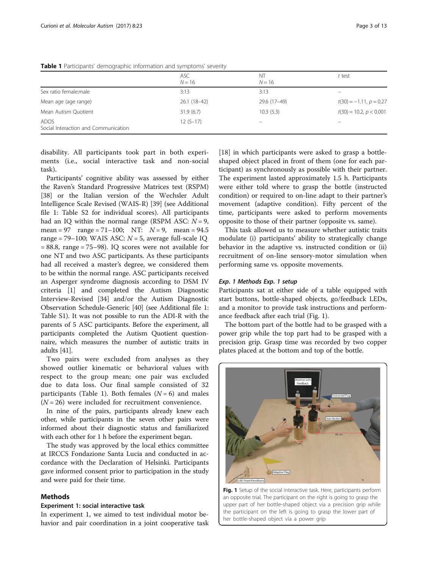|                                                     | <b>ASC</b><br>$N = 16$ | ΝT<br>$N = 16$ | t test                       |  |
|-----------------------------------------------------|------------------------|----------------|------------------------------|--|
| Sex ratio female: male                              | 3:13                   | 3:13           |                              |  |
| Mean age (age range)                                | $26.1(18-42)$          | 29.6 (17-49)   | $t(30) = -1.11$ , $p = 0.27$ |  |
| Mean Autism Quotient                                | 31.9(6.7)              | 10.3(5.3)      | $t(30) = 10.2, p < 0.001$    |  |
| <b>ADOS</b><br>Social Interaction and Communication | $12(5-17)$             |                |                              |  |

<span id="page-2-0"></span>Table 1 Participants' demographic information and symptoms' severity

disability. All participants took part in both experiments (i.e., social interactive task and non-social task).

Participants' cognitive ability was assessed by either the Raven's Standard Progressive Matrices test (RSPM) [[38\]](#page-12-0) or the Italian version of the Wechsler Adult Intelligence Scale Revised (WAIS-R) [[39](#page-12-0)] (see Additional file [1:](#page-11-0) Table S2 for individual scores). All participants had an IQ within the normal range (RSPM ASC:  $N = 9$ , mean = 97 range = 71–100; NT:  $N = 9$ , mean = 94.5 range = 79–100; WAIS ASC:  $N = 5$ , average full-scale IQ  $= 88.8$ , range  $= 75-98$ ). IQ scores were not available for one NT and two ASC participants. As these participants had all received a master's degree, we considered them to be within the normal range. ASC participants received an Asperger syndrome diagnosis according to DSM IV criteria [\[1\]](#page-11-0) and completed the Autism Diagnostic Interview-Revised [\[34\]](#page-12-0) and/or the Autism Diagnostic Observation Schedule-Generic [\[40\]](#page-12-0) (see Additional file [1](#page-11-0): Table S1). It was not possible to run the ADI-R with the parents of 5 ASC participants. Before the experiment, all participants completed the Autism Quotient questionnaire, which measures the number of autistic traits in adults [\[41](#page-12-0)].

Two pairs were excluded from analyses as they showed outlier kinematic or behavioral values with respect to the group mean; one pair was excluded due to data loss. Our final sample consisted of 32 participants (Table 1). Both females  $(N = 6)$  and males  $(N = 26)$  were included for recruitment convenience.

In nine of the pairs, participants already knew each other, while participants in the seven other pairs were informed about their diagnostic status and familiarized with each other for 1 h before the experiment began.

The study was approved by the local ethics committee at IRCCS Fondazione Santa Lucia and conducted in accordance with the Declaration of Helsinki. Participants gave informed consent prior to participation in the study and were paid for their time.

# Methods

## Experiment 1: social interactive task

In experiment 1, we aimed to test individual motor behavior and pair coordination in a joint cooperative task [[18\]](#page-12-0) in which participants were asked to grasp a bottleshaped object placed in front of them (one for each participant) as synchronously as possible with their partner. The experiment lasted approximately 1.5 h. Participants were either told where to grasp the bottle (instructed condition) or required to on-line adapt to their partner's movement (adaptive condition). Fifty percent of the time, participants were asked to perform movements opposite to those of their partner (opposite vs. same).

This task allowed us to measure whether autistic traits modulate (i) participants' ability to strategically change behavior in the adaptive vs. instructed condition or (ii) recruitment of on-line sensory-motor simulation when performing same vs. opposite movements.

#### Exp. 1 Methods Exp. 1 setup

Participants sat at either side of a table equipped with start buttons, bottle-shaped objects, go/feedback LEDs, and a monitor to provide task instructions and performance feedback after each trial (Fig. 1).

The bottom part of the bottle had to be grasped with a power grip while the top part had to be grasped with a precision grip. Grasp time was recorded by two copper plates placed at the bottom and top of the bottle.



Fig. 1 Setup of the social interactive task. Here, participants perform an opposite trial. The participant on the right is going to grasp the upper part of her bottle-shaped object via a precision grip while the participant on the left is going to grasp the lower part of her bottle-shaped object via a power grip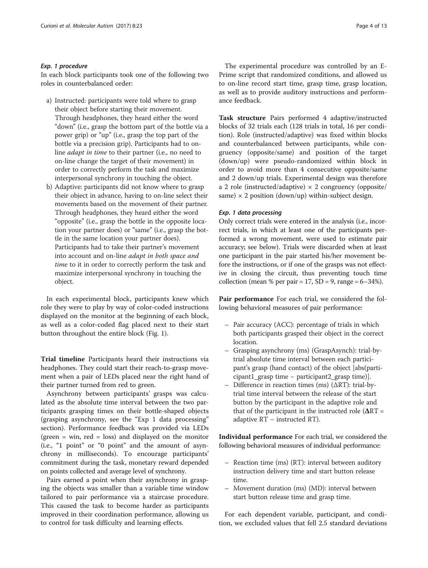# Exp. 1 procedure

In each block participants took one of the following two roles in counterbalanced order:

- a) Instructed: participants were told where to grasp their object before starting their movement. Through headphones, they heard either the word "down" (i.e., grasp the bottom part of the bottle via a power grip) or "up" (i.e., grasp the top part of the bottle via a precision grip). Participants had to online adapt in time to their partner (i.e., no need to on-line change the target of their movement) in order to correctly perform the task and maximize interpersonal synchrony in touching the object.
- b) Adaptive: participants did not know where to grasp their object in advance, having to on-line select their movements based on the movement of their partner. Through headphones, they heard either the word "opposite" (i.e., grasp the bottle in the opposite location your partner does) or "same" (i.e., grasp the bottle in the same location your partner does). Participants had to take their partner's movement into account and on-line adapt in both space and time to it in order to correctly perform the task and maximize interpersonal synchrony in touching the object.

In each experimental block, participants knew which role they were to play by way of color-coded instructions displayed on the monitor at the beginning of each block, as well as a color-coded flag placed next to their start button throughout the entire block (Fig. [1](#page-2-0)).

Trial timeline Participants heard their instructions via headphones. They could start their reach-to-grasp movement when a pair of LEDs placed near the right hand of their partner turned from red to green.

Asynchrony between participants' grasps was calculated as the absolute time interval between the two participants grasping times on their bottle-shaped objects (grasping asynchrony, see the "[Exp 1 data processing](#page-4-0)" section). Performance feedback was provided via LEDs (green  $=$  win, red  $=$  loss) and displayed on the monitor (i.e., "1 point" or "0 point" and the amount of asynchrony in milliseconds). To encourage participants' commitment during the task, monetary reward depended on points collected and average level of synchrony.

Pairs earned a point when their asynchrony in grasping the objects was smaller than a variable time window tailored to pair performance via a staircase procedure. This caused the task to become harder as participants improved in their coordination performance, allowing us to control for task difficulty and learning effects.

The experimental procedure was controlled by an E-Prime script that randomized conditions, and allowed us to on-line record start time, grasp time, grasp location, as well as to provide auditory instructions and performance feedback.

Task structure Pairs performed 4 adaptive/instructed blocks of 32 trials each (128 trials in total, 16 per condition). Role (instructed/adaptive) was fixed within blocks and counterbalanced between participants, while congruency (opposite/same) and position of the target (down/up) were pseudo-randomized within block in order to avoid more than 4 consecutive opposite/same and 2 down/up trials. Experimental design was therefore a 2 role (instructed/adaptive)  $\times$  2 congruency (opposite/ same)  $\times$  2 position (down/up) within-subject design.

### Exp. 1 data processing

Only correct trials were entered in the analysis (i.e., incorrect trials, in which at least one of the participants performed a wrong movement, were used to estimate pair accuracy; see below). Trials were discarded when at least one participant in the pair started his/her movement before the instructions, or if one of the grasps was not effective in closing the circuit, thus preventing touch time collection (mean % per pair =  $17$ , SD = 9, range =  $6-34$ %).

Pair performance For each trial, we considered the following behavioral measures of pair performance:

- Pair accuracy (ACC): percentage of trials in which both participants grasped their object in the correct location.
- Grasping asynchrony (ms) (GraspAsynch): trial-bytrial absolute time interval between each participant's grasp (hand contact) of the object [abs(participant1\_grasp time − participant2\_grasp time)].
- Difference in reaction times (ms) (ΔRT): trial-bytrial time interval between the release of the start button by the participant in the adaptive role and that of the participant in the instructed role  $(\Delta RT =$ adaptive RT − instructed RT).

Individual performance For each trial, we considered the following behavioral measures of individual performance:

- Reaction time (ms) (RT): interval between auditory instruction delivery time and start button release time.
- Movement duration (ms) (MD): interval between start button release time and grasp time.

For each dependent variable, participant, and condition, we excluded values that fell 2.5 standard deviations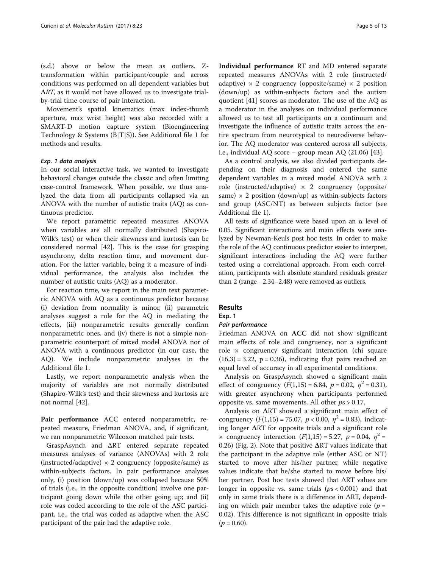<span id="page-4-0"></span>(s.d.) above or below the mean as outliers. Ztransformation within participant/couple and across conditions was performed on all dependent variables but  $\Delta RT$ , as it would not have allowed us to investigate trialby-trial time course of pair interaction.

Movement's spatial kinematics (max index-thumb aperture, max wrist height) was also recorded with a SMART-D motion capture system (Bioengineering Technology & Systems (B|T|S)). See Additional file [1](#page-11-0) for methods and results.

# Exp. 1 data analysis

In our social interactive task, we wanted to investigate behavioral changes outside the classic and often limiting case-control framework. When possible, we thus analyzed the data from all participants collapsed via an ANOVA with the number of autistic traits (AQ) as continuous predictor.

We report parametric repeated measures ANOVA when variables are all normally distributed (Shapiro-Wilk's test) or when their skewness and kurtosis can be considered normal [[42\]](#page-12-0). This is the case for grasping asynchrony, delta reaction time, and movement duration. For the latter variable, being it a measure of individual performance, the analysis also includes the number of autistic traits (AQ) as a moderator.

For reaction time, we report in the main text parametric ANOVA with AQ as a continuous predictor because (i) deviation from normality is minor, (ii) parametric analyses suggest a role for the AQ in mediating the effects, (iii) nonparametric results generally confirm nonparametric ones, and (iv) there is not a simple nonparametric counterpart of mixed model ANOVA nor of ANOVA with a continuous predictor (in our case, the AQ). We include nonparametric analyses in the Additional file [1.](#page-11-0)

Lastly, we report nonparametric analysis when the majority of variables are not normally distributed (Shapiro-Wilk's test) and their skewness and kurtosis are not normal [[42\]](#page-12-0).

Pair performance ACC entered nonparametric, repeated measure, Friedman ANOVA, and, if significant, we ran nonparametric Wilcoxon matched pair tests.

GraspAsynch and ΔRT entered separate repeated measures analyses of variance (ANOVAs) with 2 role (instructed/adaptive)  $\times$  2 congruency (opposite/same) as within-subjects factors. In pair performance analyses only, (i) position (down/up) was collapsed because 50% of trials (i.e., in the opposite condition) involve one participant going down while the other going up; and (ii) role was coded according to the role of the ASC participant, i.e., the trial was coded as adaptive when the ASC participant of the pair had the adaptive role.

Individual performance RT and MD entered separate repeated measures ANOVAs with 2 role (instructed/ adaptive)  $\times$  2 congruency (opposite/same)  $\times$  2 position (down/up) as within-subjects factors and the autism quotient [\[41](#page-12-0)] scores as moderator. The use of the AQ as a moderator in the analyses on individual performance allowed us to test all participants on a continuum and investigate the influence of autistic traits across the entire spectrum from neurotypical to neurodiverse behavior. The AQ moderator was centered across all subjects, i.e., individual AQ score − group mean AQ (21.06) [[43\]](#page-12-0).

As a control analysis, we also divided participants depending on their diagnosis and entered the same dependent variables in a mixed model ANOVA with 2 role (instructed/adaptive)  $\times$  2 congruency (opposite/ same)  $\times$  2 position (down/up) as within-subjects factors and group (ASC/NT) as between subjects factor (see Additional file [1](#page-11-0)).

All tests of significance were based upon an  $\alpha$  level of 0.05. Significant interactions and main effects were analyzed by Newman-Keuls post hoc tests. In order to make the role of the AQ continuous predictor easier to interpret, significant interactions including the AQ were further tested using a correlational approach. From each correlation, participants with absolute standard residuals greater than 2 (range −2.34–2.48) were removed as outliers.

## **Results**

#### Exp. 1

#### Pair performance

Friedman ANOVA on ACC did not show significant main effects of role and congruency, nor a significant role × congruency significant interaction (chi square  $(16,3) = 3.22$ ,  $p = 0.36$ ), indicating that pairs reached an equal level of accuracy in all experimental conditions.

Analysis on GraspAsynch showed a significant main effect of congruency  $(F(1,15) = 6.84, p = 0.02, \eta^2 = 0.31)$ , with greater asynchrony when participants performed opposite vs. same movements. All other  $ps > 0.17$ .

Analysis on ΔRT showed a significant main effect of congruency  $(F(1,15) = 75.07, p < 0.00, \eta^2 = 0.83)$ , indicating longer ΔRT for opposite trials and a significant role  $\times$  congruency interaction  $(F(1,15) = 5.27, p = 0.04, \eta^2 =$ 0.26) (Fig. [2](#page-5-0)). Note that positive  $\Delta RT$  values indicate that the participant in the adaptive role (either ASC or NT) started to move after his/her partner, while negative values indicate that he/she started to move before his/ her partner. Post hoc tests showed that ΔRT values are longer in opposite vs. same trials  $(ps < 0.001)$  and that only in same trials there is a difference in  $\Delta RT$ , depending on which pair member takes the adaptive role  $(p =$ 0.02). This difference is not significant in opposite trials  $(p = 0.60)$ .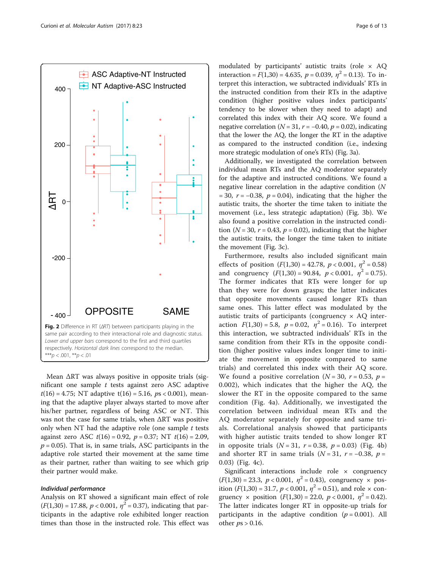<span id="page-5-0"></span>

Mean  $\Delta RT$  was always positive in opposite trials (significant one sample  $t$  tests against zero ASC adaptive  $t(16) = 4.75$ ; NT adaptive t(16) = 5.16, ps < 0.001), meaning that the adaptive player always started to move after his/her partner, regardless of being ASC or NT. This was not the case for same trials, when ΔRT was positive only when NT had the adaptive role (one sample  $t$  tests against zero ASC  $t(16) = 0.92$ ,  $p = 0.37$ ; NT  $t(16) = 2.09$ ,  $p = 0.05$ ). That is, in same trials, ASC participants in the adaptive role started their movement at the same time as their partner, rather than waiting to see which grip their partner would make.

# Individual performance

Analysis on RT showed a significant main effect of role  $(F(1,30) = 17.88, p < 0.001, \eta^2 = 0.37)$ , indicating that participants in the adaptive role exhibited longer reaction times than those in the instructed role. This effect was modulated by participants' autistic traits (role  $\times$  AQ interaction =  $F(1,30) = 4.635$ ,  $p = 0.039$ ,  $\eta^2 = 0.13$ ). To interpret this interaction, we subtracted individuals' RTs in the instructed condition from their RTs in the adaptive condition (higher positive values index participants' tendency to be slower when they need to adapt) and correlated this index with their AQ score. We found a negative correlation ( $N = 31$ ,  $r = -0.40$ ,  $p = 0.02$ ), indicating that the lower the AQ, the longer the RT in the adaptive as compared to the instructed condition (i.e., indexing more strategic modulation of one's RTs) (Fig. [3a\)](#page-6-0).

Additionally, we investigated the correlation between individual mean RTs and the AQ moderator separately for the adaptive and instructed conditions. We found a negative linear correlation in the adaptive condition (N = 30,  $r = -0.38$ ,  $p = 0.04$ ), indicating that the higher the autistic traits, the shorter the time taken to initiate the movement (i.e., less strategic adaptation) (Fig. [3b](#page-6-0)). We also found a positive correlation in the instructed condition ( $N = 30$ ,  $r = 0.43$ ,  $p = 0.02$ ), indicating that the higher the autistic traits, the longer the time taken to initiate the movement (Fig. [3c\)](#page-6-0).

Furthermore, results also included significant main effects of position  $(F(1,30) = 42.78, p < 0.001, \eta^2 = 0.58)$ and congruency  $(F(1,30) = 90.84, p < 0.001, \eta^2 = 0.75)$ . The former indicates that RTs were longer for up than they were for down grasps; the latter indicates that opposite movements caused longer RTs than same ones. This latter effect was modulated by the autistic traits of participants (congruency  $\times$  AQ interaction  $F(1,30) = 5.8$ ,  $p = 0.02$ ,  $\eta^2 = 0.16$ ). To interpret this interaction, we subtracted individuals' RTs in the same condition from their RTs in the opposite condition (higher positive values index longer time to initiate the movement in opposite compared to same trials) and correlated this index with their AQ score. We found a positive correlation ( $N = 30$ ,  $r = 0.53$ ,  $p =$ 0.002), which indicates that the higher the AQ, the slower the RT in the opposite compared to the same condition (Fig. [4a](#page-6-0)). Additionally, we investigated the correlation between individual mean RTs and the AQ moderator separately for opposite and same trials. Correlational analysis showed that participants with higher autistic traits tended to show longer RT in opposite trials  $(N = 31, r = 0.38, p = 0.03)$  (Fig. [4b](#page-6-0)) and shorter RT in same trials  $(N = 31, r = -0.38, p =$ 0.03) (Fig. [4c\)](#page-6-0).

Significant interactions include role  $\times$  congruency  $(F(1,30) = 23.3, p < 0.001, \eta^2 = 0.43)$ , congruency  $\times$  position ( $F(1,30) = 31.7$ ,  $p < 0.001$ ,  $\eta^2 = 0.51$ ), and role  $\times$  congruency  $\times$  position  $(F(1,30) = 22.0, p < 0.001, \eta^2 = 0.42)$ . The latter indicates longer RT in opposite-up trials for participants in the adaptive condition ( $p = 0.001$ ). All other  $ps > 0.16$ .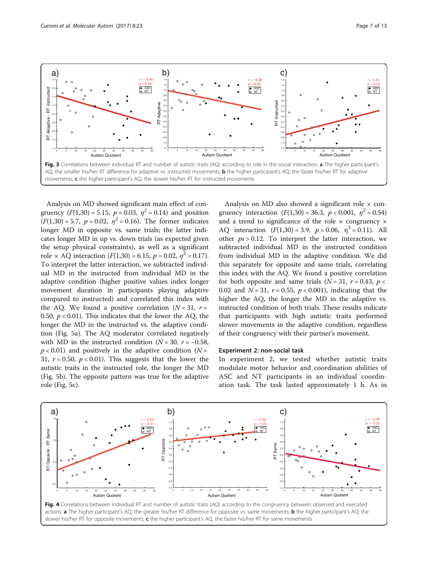<span id="page-6-0"></span>

Analysis on MD showed significant main effect of congruency  $(F(1,30) = 5.15, p = 0.03, \eta^2 = 0.14)$  and position  $(F(1,30) = 5.7, p = 0.02, \eta^2 = 0.16)$ . The former indicates longer MD in opposite vs. same trials; the latter indicates longer MD in up vs. down trials (as expected given the setup physical constraints), as well as a significant role × AQ interaction  $(F(1,30) = 6.15, p = 0.02, \eta^2 = 0.17)$ . To interpret the latter interaction, we subtracted individual MD in the instructed from individual MD in the adaptive condition (higher positive values index longer movement duration in participants playing adaptive compared to instructed) and correlated this index with the AQ. We found a positive correlation  $(N = 31, r =$ 0.50,  $p < 0.01$ ). This indicates that the lower the AQ, the longer the MD in the instructed vs. the adaptive condition (Fig. [5a\)](#page-7-0). The AQ moderator correlated negatively with MD in the instructed condition ( $N = 30$ ,  $r = -0.58$ ,  $p < 0.01$ ) and positively in the adaptive condition (N = 31,  $r = 0.50$ ,  $p < 0.01$ ). This suggests that the lower the autistic traits in the instructed role, the longer the MD (Fig. [5b\)](#page-7-0). The opposite pattern was true for the adaptive role (Fig. [5c](#page-7-0)).

Analysis on MD also showed a significant role  $\times$  congruency interaction  $(F(1,30) = 36.3, p < 0.001, \eta^2 = 0.54)$ and a trend to significance of the role  $\times$  congruency  $\times$ AQ interaction  $(F(1,30) = 3.9, p = 0.06, \eta^2 = 0.11)$ . All other  $ps > 0.12$ . To interpret the latter interaction, we subtracted individual MD in the instructed condition from individual MD in the adaptive condition. We did this separately for opposite and same trials, correlating this index with the AQ. We found a positive correlation for both opposite and same trials  $(N = 31, r = 0.43, p <$ 0.02 and  $N = 31$ ,  $r = 0.55$ ,  $p < 0.001$ ), indicating that the higher the AQ, the longer the MD in the adaptive vs. instructed condition of both trials. These results indicate that participants with high autistic traits performed slower movements in the adaptive condition, regardless of their congruency with their partner's movement.

#### Experiment 2: non-social task

In experiment 2, we tested whether autistic traits modulate motor behavior and coordination abilities of ASC and NT participants in an individual coordination task. The task lasted approximately 1 h. As in



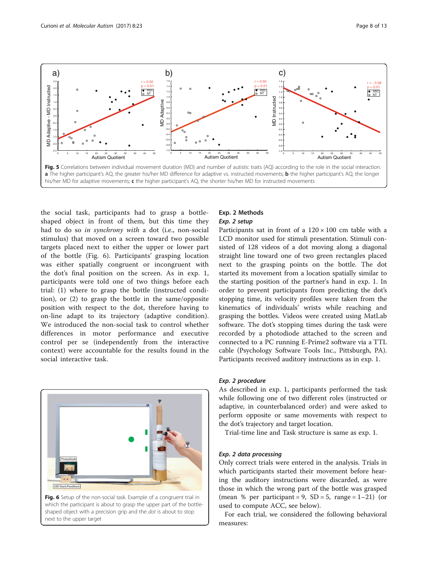<span id="page-7-0"></span>

the social task, participants had to grasp a bottleshaped object in front of them, but this time they had to do so in synchrony with a dot (i.e., non-social stimulus) that moved on a screen toward two possible targets placed next to either the upper or lower part of the bottle (Fig. 6). Participants' grasping location was either spatially congruent or incongruent with the dot's final position on the screen. As in exp. 1, participants were told one of two things before each trial: (1) where to grasp the bottle (instructed condition), or (2) to grasp the bottle in the same/opposite position with respect to the dot, therefore having to on-line adapt to its trajectory (adaptive condition). We introduced the non-social task to control whether differences in motor performance and executive control per se (independently from the interactive context) were accountable for the results found in the social interactive task.



Fig. 6 Setup of the non-social task. Example of a congruent trial in which the participant is about to grasp the upper part of the bottleshaped object with a precision grip and the dot is about to stop next to the upper target

# Exp. 2 Methods Exp. 2 setup

Participants sat in front of a  $120 \times 100$  cm table with a LCD monitor used for stimuli presentation. Stimuli consisted of 128 videos of a dot moving along a diagonal straight line toward one of two green rectangles placed next to the grasping points on the bottle. The dot started its movement from a location spatially similar to the starting position of the partner's hand in exp. 1. In order to prevent participants from predicting the dot's stopping time, its velocity profiles were taken from the kinematics of individuals' wrists while reaching and grasping the bottles. Videos were created using MatLab software. The dot's stopping times during the task were recorded by a photodiode attached to the screen and connected to a PC running E-Prime2 software via a TTL cable (Psychology Software Tools Inc., Pittsburgh, PA). Participants received auditory instructions as in exp. 1.

# Exp. 2 procedure

As described in exp. 1, participants performed the task while following one of two different roles (instructed or adaptive, in counterbalanced order) and were asked to perform opposite or same movements with respect to the dot's trajectory and target location.

Trial-time line and Task structure is same as exp. 1.

#### Exp. 2 data processing

Only correct trials were entered in the analysis. Trials in which participants started their movement before hearing the auditory instructions were discarded, as were those in which the wrong part of the bottle was grasped (mean % per participant = 9,  $SD = 5$ , range = 1–21) (or used to compute ACC, see below).

For each trial, we considered the following behavioral measures: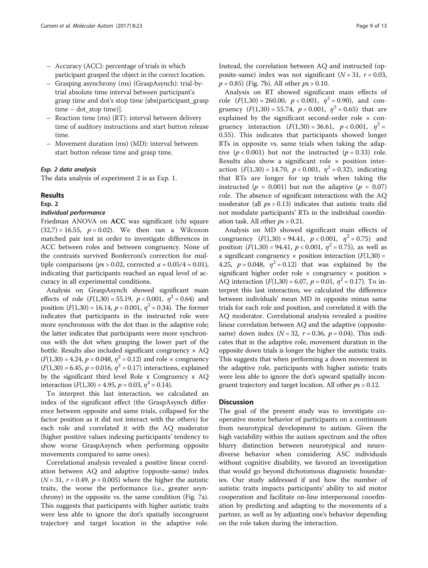- Accuracy (ACC): percentage of trials in which participant grasped the object in the correct location.
- Grasping asynchrony (ms) (GraspAsynch): trial-bytrial absolute time interval between participant's grasp time and dot's stop time [abs(participant\_grasp time − dot\_stop time)].
- Reaction time (ms) (RT): interval between delivery time of auditory instructions and start button release time.
- Movement duration (ms) (MD): interval between start button release time and grasp time.

#### Exp. 2 data analysis

The data analysis of experiment 2 is as Exp. 1.

# Results

Exp. 2

# Individual performance

Friedman ANOVA on ACC was significant (chi square  $(32,7) = 16.55$ ,  $p = 0.02$ ). We then ran a Wilcoxon matched pair test in order to investigate differences in ACC between roles and between congruency. None of the contrasts survived Bonferroni's correction for multiple comparisons ( $ps > 0.02$ , corrected  $\alpha = 0.05/4 = 0.01$ ), indicating that participants reached an equal level of accuracy in all experimental conditions.

Analysis on GraspAsynch showed significant main effects of role  $(F(1,30) = 55.19, p < 0.001, \eta^2 = 0.64)$  and position  $(F(1,30) = 16.14, p < 0.001, \eta^2 = 0.34)$ . The former indicates that participants in the instructed role were more synchronous with the dot than in the adaptive role; the latter indicates that participants were more synchronous with the dot when grasping the lower part of the bottle. Results also included significant congruency  $\times$  AQ  $(F(1,30) = 4.24, p = 0.048, \eta^2 = 0.12)$  and role  $\times$  congruency  $(F(1,30) = 6.45, p = 0.016, \eta^2 = 0.17)$  interactions, explained by the significant third level Role x Congruency x AQ interaction  $(F(1,30) = 4.95, p = 0.03, \eta^2 = 0.14)$ .

To interpret this last interaction, we calculated an index of the significant effect (the GraspAsynch difference between opposite and same trials, collapsed for the factor position as it did not interact with the others) for each role and correlated it with the AQ moderator (higher positive values indexing participants' tendency to show worse GraspAsynch when performing opposite movements compared to same ones).

Correlational analysis revealed a positive linear correlation between AQ and adaptive (opposite-same) index  $(N = 31, r = 0.49, p = 0.005)$  where the higher the autistic traits, the worse the performance (i.e., greater asynchrony) in the opposite vs. the same condition (Fig. [7a](#page-9-0)). This suggests that participants with higher autistic traits were less able to ignore the dot's spatially incongruent trajectory and target location in the adaptive role. Instead, the correlation between AQ and instructed (opposite-same) index was not significant  $(N = 31, r = 0.03,$  $p = 0.85$ ) (Fig. [7b](#page-9-0)). All other  $ps > 0.10$ .

Analysis on RT showed significant main effects of role  $(F(1,30) = 260.00, p < 0.001, \eta^2 = 0.90)$ , and congruency  $(F(1,30) = 55.74, p < 0.001, \eta^2 = 0.65)$  that are explained by the significant second-order role × congruency interaction  $(F(1,30) = 36.61, p < 0.001, n^2 =$ 0.55). This indicates that participants showed longer RTs in opposite vs. same trials when taking the adaptive  $(p < 0.001)$  but not the instructed  $(p = 0.33)$  role. Results also show a significant role × position interaction  $(F(1,30) = 14.70, p < 0.001, \eta^2 = 0.32)$ , indicating that RTs are longer for up trials when taking the instructed ( $p = 0.001$ ) but not the adaptive ( $p = 0.07$ ) role. The absence of significant interactions with the AQ moderator (all  $ps > 0.13$ ) indicates that autistic traits did not modulate participants' RTs in the individual coordination task. All other  $ps > 0.21$ .

Analysis on MD showed significant main effects of congruency  $(F(1,30) = 94.41, p < 0.001, \eta^2 = 0.75)$  and position  $(F(1,30) = 94.41, p < 0.001, \eta^2 = 0.75)$ , as well as a significant congruency  $\times$  position interaction ( $F(1,30) =$ 4.25,  $p = 0.048$ ,  $p^2 = 0.12$ ) that was explained by the significant higher order role × congruency × position × AQ interaction  $(F(1,30) = 6.07, p = 0.01, \eta^2 = 0.17)$ . To interpret this last interaction, we calculated the difference between individuals' mean MD in opposite minus same trials for each role and position, and correlated it with the AQ moderator. Correlational analysis revealed a positive linear correlation between AQ and the adaptive (oppositesame) down index ( $N = 32$ ,  $r = 0.36$ ,  $p = 0.04$ ). This indicates that in the adaptive role, movement duration in the opposite down trials is longer the higher the autistic traits. This suggests that when performing a down movement in the adaptive role, participants with higher autistic traits were less able to ignore the dot's upward spatially incongruent trajectory and target location. All other  $ps > 0.12$ .

### **Discussion**

The goal of the present study was to investigate cooperative motor behavior of participants on a continuum from neurotypical development to autism. Given the high variability within the autism spectrum and the often blurry distinction between neurotypical and neurodiverse behavior when considering ASC individuals without cognitive disability, we favored an investigation that would go beyond dichotomous diagnostic boundaries. Our study addressed if and how the number of autistic traits impacts participants' ability to aid motor cooperation and facilitate on-line interpersonal coordination by predicting and adapting to the movements of a partner, as well as by adjusting one's behavior depending on the role taken during the interaction.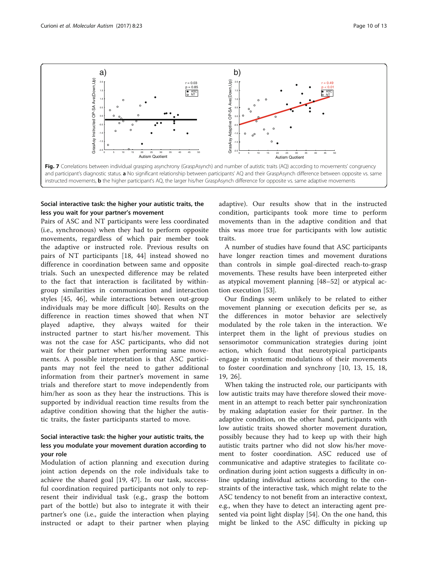<span id="page-9-0"></span>

# Social interactive task: the higher your autistic traits, the less you wait for your partner's movement

Pairs of ASC and NT participants were less coordinated (i.e., synchronous) when they had to perform opposite movements, regardless of which pair member took the adaptive or instructed role. Previous results on pairs of NT participants [[18, 44](#page-12-0)] instead showed no difference in coordination between same and opposite trials. Such an unexpected difference may be related to the fact that interaction is facilitated by withingroup similarities in communication and interaction styles [[45](#page-12-0), [46\]](#page-12-0), while interactions between out-group individuals may be more difficult [\[40](#page-12-0)]. Results on the difference in reaction times showed that when NT played adaptive, they always waited for their instructed partner to start his/her movement. This was not the case for ASC participants, who did not wait for their partner when performing same movements. A possible interpretation is that ASC participants may not feel the need to gather additional information from their partner's movement in same trials and therefore start to move independently from him/her as soon as they hear the instructions. This is supported by individual reaction time results from the adaptive condition showing that the higher the autistic traits, the faster participants started to move.

# Social interactive task: the higher your autistic traits, the less you modulate your movement duration according to your role

Modulation of action planning and execution during joint action depends on the role individuals take to achieve the shared goal [[19](#page-12-0), [47\]](#page-12-0). In our task, successful coordination required participants not only to represent their individual task (e.g., grasp the bottom part of the bottle) but also to integrate it with their partner's one (i.e., guide the interaction when playing instructed or adapt to their partner when playing

adaptive). Our results show that in the instructed condition, participants took more time to perform movements than in the adaptive condition and that this was more true for participants with low autistic traits.

A number of studies have found that ASC participants have longer reaction times and movement durations than controls in simple goal-directed reach-to-grasp movements. These results have been interpreted either as atypical movement planning [\[48](#page-12-0)–[52\]](#page-12-0) or atypical action execution [[53\]](#page-12-0).

Our findings seem unlikely to be related to either movement planning or execution deficits per se, as the differences in motor behavior are selectively modulated by the role taken in the interaction. We interpret them in the light of previous studies on sensorimotor communication strategies during joint action, which found that neurotypical participants engage in systematic modulations of their movements to foster coordination and synchrony [\[10](#page-11-0), [13](#page-11-0), [15](#page-11-0), [18](#page-12-0), [19, 26\]](#page-12-0).

When taking the instructed role, our participants with low autistic traits may have therefore slowed their movement in an attempt to reach better pair synchronization by making adaptation easier for their partner. In the adaptive condition, on the other hand, participants with low autistic traits showed shorter movement duration, possibly because they had to keep up with their high autistic traits partner who did not slow his/her movement to foster coordination. ASC reduced use of communicative and adaptive strategies to facilitate coordination during joint action suggests a difficulty in online updating individual actions according to the constraints of the interactive task, which might relate to the ASC tendency to not benefit from an interactive context, e.g., when they have to detect an interacting agent presented via point light display [\[54](#page-12-0)]. On the one hand, this might be linked to the ASC difficulty in picking up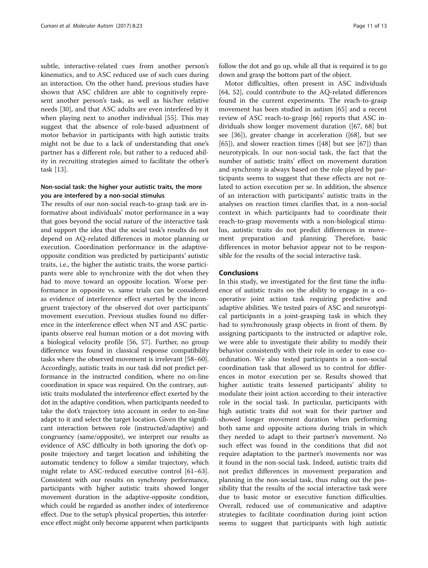subtle, interactive-related cues from another person's kinematics, and to ASC reduced use of such cues during an interaction. On the other hand, previous studies have shown that ASC children are able to cognitively represent another person's task, as well as his/her relative needs [\[30](#page-12-0)], and that ASC adults are even interfered by it when playing next to another individual [\[55](#page-12-0)]. This may suggest that the absence of role-based adjustment of motor behavior in participants with high autistic traits might not be due to a lack of understanding that one's partner has a different role, but rather to a reduced ability in recruiting strategies aimed to facilitate the other's task [\[13](#page-11-0)].

# Non-social task: the higher your autistic traits, the more you are interfered by a non-social stimulus

The results of our non-social reach-to-grasp task are informative about individuals' motor performance in a way that goes beyond the social nature of the interactive task and support the idea that the social task's results do not depend on AQ-related differences in motor planning or execution. Coordination performance in the adaptiveopposite condition was predicted by participants' autistic traits, i.e., the higher the autistic traits, the worse participants were able to synchronize with the dot when they had to move toward an opposite location. Worse performance in opposite vs. same trials can be considered as evidence of interference effect exerted by the incongruent trajectory of the observed dot over participants' movement execution. Previous studies found no difference in the interference effect when NT and ASC participants observe real human motion or a dot moving with a biological velocity profile [[56, 57](#page-12-0)]. Further, no group difference was found in classical response compatibility tasks where the observed movement is irrelevant [\[58](#page-12-0)–[60](#page-12-0)]. Accordingly, autistic traits in our task did not predict performance in the instructed condition, where no on-line coordination in space was required. On the contrary, autistic traits modulated the interference effect exerted by the dot in the adaptive condition, when participants needed to take the dot's trajectory into account in order to on-line adapt to it and select the target location. Given the significant interaction between role (instructed/adaptive) and congruency (same/opposite), we interpret our results as evidence of ASC difficulty in both ignoring the dot's opposite trajectory and target location and inhibiting the automatic tendency to follow a similar trajectory, which might relate to ASC-reduced executive control [\[61](#page-12-0)–[63](#page-12-0)]. Consistent with our results on synchrony performance, participants with higher autistic traits showed longer movement duration in the adaptive-opposite condition, which could be regarded as another index of interference effect. Due to the setup's physical properties, this interference effect might only become apparent when participants

follow the dot and go up, while all that is required is to go down and grasp the bottom part of the object.

Motor difficulties, often present in ASC individuals [[64, 52\]](#page-12-0), could contribute to the AQ-related differences found in the current experiments. The reach-to-grasp movement has been studied in autism [\[65\]](#page-12-0) and a recent review of ASC reach-to-grasp [\[66](#page-12-0)] reports that ASC individuals show longer movement duration ([\[67, 68\]](#page-12-0) but see [\[36](#page-12-0)]), greater change in acceleration ([[68](#page-12-0)], but see [[65\]](#page-12-0)), and slower reaction times ([\[48](#page-12-0)] but see [\[67](#page-12-0)]) than neurotypicals. In our non-social task, the fact that the number of autistic traits' effect on movement duration and synchrony is always based on the role played by participants seems to suggest that these effects are not related to action execution per se. In addition, the absence of an interaction with participants' autistic traits in the analyses on reaction times clarifies that, in a non-social context in which participants had to coordinate their reach-to-grasp movements with a non-biological stimulus, autistic traits do not predict differences in movement preparation and planning. Therefore, basic differences in motor behavior appear not to be responsible for the results of the social interactive task.

## Conclusions

In this study, we investigated for the first time the influence of autistic traits on the ability to engage in a cooperative joint action task requiring predictive and adaptive abilities. We tested pairs of ASC and neurotypical participants in a joint-grasping task in which they had to synchronously grasp objects in front of them. By assigning participants to the instructed or adaptive role, we were able to investigate their ability to modify their behavior consistently with their role in order to ease coordination. We also tested participants in a non-social coordination task that allowed us to control for differences in motor execution per se. Results showed that higher autistic traits lessened participants' ability to modulate their joint action according to their interactive role in the social task. In particular, participants with high autistic traits did not wait for their partner and showed longer movement duration when performing both same and opposite actions during trials in which they needed to adapt to their partner's movement. No such effect was found in the conditions that did not require adaptation to the partner's movements nor was it found in the non-social task. Indeed, autistic traits did not predict differences in movement preparation and planning in the non-social task, thus ruling out the possibility that the results of the social interactive task were due to basic motor or executive function difficulties. Overall, reduced use of communicative and adaptive strategies to facilitate coordination during joint action seems to suggest that participants with high autistic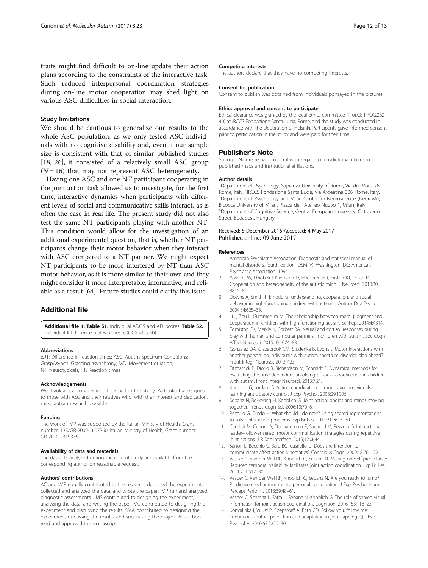<span id="page-11-0"></span>traits might find difficult to on-line update their action plans according to the constraints of the interactive task. Such reduced interpersonal coordination strategies during on-line motor cooperation may shed light on various ASC difficulties in social interaction.

#### Study limitations

We should be cautious to generalize our results to the whole ASC population, as we only tested ASC individuals with no cognitive disability and, even if our sample size is consistent with that of similar published studies [[18, 26\]](#page-12-0), it consisted of a relatively small ASC group  $(N = 16)$  that may not represent ASC heterogeneity.

Having one ASC and one NT participant cooperating in the joint action task allowed us to investigate, for the first time, interactive dynamics when participants with different levels of social and communicative skills interact, as is often the case in real life. The present study did not also test the same NT participants playing with another NT. This condition would allow for the investigation of an additional experimental question, that is, whether NT participants change their motor behavior when they interact with ASC compared to a NT partner. We might expect NT participants to be more interfered by NT than ASC motor behavior, as it is more similar to their own and they might consider it more interpretable, informative, and reliable as a result [\[64\]](#page-12-0). Future studies could clarify this issue.

# Additional file

[Additional file 1: Table S1.](dx.doi.org/10.1186/s13229-017-0141-0) Individual ADOS and ADI scores. Table S2. Individual Intelligence scales scores. (DOCX 46.5 kb)

#### Abbreviations

ΔRT: Difference in reaction times; ASC: Autism Spectrum Conditions; GraspAsynch: Grasping asynchrony; MD: Movement duration; NT: Neurotypicals; RT: Reaction times

#### Acknowledgements

We thank all participants who took part in this study. Particular thanks goes to those with ASC and their relatives who, with their interest and dedication, make autism research possible.

#### Funding

The work of IMP was supported by the Italian Ministry of Health, Grant number: 133/GR-2009-1607360. Italian Ministry of Health, Grant number: GR-2010-2319335.

#### Availability of data and materials

The datasets analyzed during the current study are available from the corresponding author on reasonable request.

#### Authors' contributions

AC and IMP equally contributed to the research, designed the experiment, collected and analyzed the data, and wrote the paper. IMP run and analyzed diagnostic assessments. LMS contributed to designing the experiment, analyzing the data, and writing the paper. MC contributed to designing the experiment and discussing the results. SMA contributed to designing the experiment, discussing the results, and supervising the project. All authors read and approved the manuscript.

#### Competing interests

The authors declare that they have no competing interests.

#### Consent for publication

Consent to publish was obtained from individuals portrayed in the pictures.

#### Ethics approval and consent to participate

Ethical clearance was granted by the local ethics committee (Prot.CE-PROG.282- 40) at IRCCS Fondazione Santa Lucia, Rome, and the study was conducted in accordance with the Declaration of Helsinki. Participants gave informed consent prior to participation in the study and were paid for their time.

#### Publisher's Note

Springer Nature remains neutral with regard to jurisdictional claims in published maps and institutional affiliations.

#### Author details

<sup>1</sup>Department of Psychology, Sapienza University of Rome, Via dei Marsi 78 Rome, Italy. <sup>2</sup> IRCCS Fondazione Santa Lucia, Via Ardeatina 306, Rome, Italy.<br><sup>3</sup> Department of Baychology and Milan Conter for Nourosciones (NouroMi). <sup>3</sup>Department of Psychology and Milan Center for Neuroscience (NeuroMi), Bicocca University of Milan, Piazza dell' Ateneo Nuovo 1, Milan, Italy. <sup>4</sup>Department of Cognitive Science, Central European University, October 6 Street, Budapest, Hungary.

#### Received: 5 December 2016 Accepted: 4 May 2017 Published online: 09 June 2017

#### References

- 1. American Psychiatric Association. Diagnostic and statistical manual of mental disorders, fourth edition (DSM-IV). Washington, DC: American Psychiatric Association; 1994.
- 2. Yoshida W, Dziobek I, Kliemann D, Heekeren HR, Friston KJ, Dolan RJ. Cooperation and heterogeneity of the autistic mind. J Neurosci. 2010;30: 8815–8.
- 3. Downs A, Smith T. Emotional understanding, cooperation, and social behavior in high-functioning children with autism. J Autism Dev Disord. 2004;34:625–35.
- 4. Li J, Zhu L, Gummerum M. The relationship between moral judgment and cooperation in children with high-functioning autism. Sci Rep. 2014;4:4314.
- 5. Edmiston EK, Merkle K, Corbett BA. Neural and cortisol responses during play with human and computer partners in children with autism. Soc Cogn Affect Neurosci. 2015;10:1074–83.
- 6. Gonzalez DA, Glazebrook CM, Studenka B, Lyons J. Motor interactions with another person: do individuals with autism spectrum disorder plan ahead? Front Integr Neurosci. 2013;7:23.
- 7. Fitzpatrick P, Diorio R, Richardson M, Schmidt R. Dynamical methods for evaluating the time-dependent unfolding of social coordination in children with autism. Front Integr Neurosci. 2013;7:21.
- 8. Knoblich G, Jordan JS. Action coordination in groups and individuals: learning anticipatory control. J Exp Psychol. 2003;29:1006.
- 9. Sebanz N, Bekkering H, Knoblich G. Joint action: bodies and minds moving together. Trends Cogn Sci. 2006;10:70–6.
- 10. Pezzulo G, Dindo H. What should I do next? Using shared representations to solve interaction problems. Exp Br Res. 2011;211:613–30.
- 11. Candidi M, Curioni A, Donnarumma F, Sacheli LM, Pezzulo G. Interactional leader–follower sensorimotor communication strategies during repetitive joint actions. J R Soc Interface. 2015;12:0644.
- 12. Sartori L, Becchio C, Bara BG, Castiello U. Does the intention to communicate affect action kinematics? Conscious Cogn. 2009;18:766–72.
- 13. Vesper C, van der Wel RP, Knoblich G, Sebanz N. Making oneself predictable: Reduced temporal variability facilitates joint action coordination. Exp Br Res. 2011;211:517–30.
- 14. Vesper C, van der Wel RP, Knoblich G, Sebanz N. Are you ready to jump? Predictive mechanisms in interpersonal coordination. J Exp Psychol Hum Percept Perform. 2013;39:48–61.
- 15. Vesper C, Schmitz L, Safra L, Sebanz N, Knoblich G. The role of shared visual information for joint action coordination. Cognition. 2016;153:118–23.
- 16. Konvalinka I, Vuust P, Roepstorff A, Frith CD. Follow you, follow me: continuous mutual prediction and adaptation in joint tapping. Q J Exp Psychol A. 2010;63:2220–30.